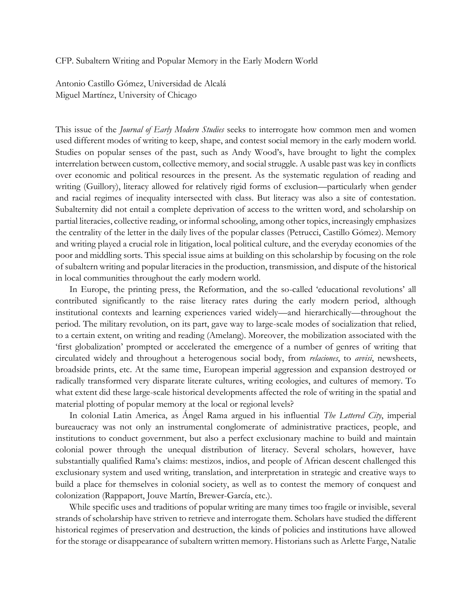CFP. Subaltern Writing and Popular Memory in the Early Modern World

Antonio Castillo Gómez, Universidad de Alcalá Miguel Martínez, University of Chicago

This issue of the *Journal of Early Modern Studies* seeks to interrogate how common men and women used different modes of writing to keep, shape, and contest social memory in the early modern world. Studies on popular senses of the past, such as Andy Wood's, have brought to light the complex interrelation between custom, collective memory, and social struggle. A usable past was key in conflicts over economic and political resources in the present. As the systematic regulation of reading and writing (Guillory), literacy allowed for relatively rigid forms of exclusion—particularly when gender and racial regimes of inequality intersected with class. But literacy was also a site of contestation. Subalternity did not entail a complete deprivation of access to the written word, and scholarship on partial literacies, collective reading, or informal schooling, among other topics, increasingly emphasizes the centrality of the letter in the daily lives of the popular classes (Petrucci, Castillo Gómez). Memory and writing played a crucial role in litigation, local political culture, and the everyday economies of the poor and middling sorts. This special issue aims at building on this scholarship by focusing on the role of subaltern writing and popular literacies in the production, transmission, and dispute of the historical in local communities throughout the early modern world.

In Europe, the printing press, the Reformation, and the so-called 'educational revolutions' all contributed significantly to the raise literacy rates during the early modern period, although institutional contexts and learning experiences varied widely—and hierarchically—throughout the period. The military revolution, on its part, gave way to large-scale modes of socialization that relied, to a certain extent, on writing and reading (Amelang). Moreover, the mobilization associated with the 'first globalization' prompted or accelerated the emergence of a number of genres of writing that circulated widely and throughout a heterogenous social body, from *relaciones*, to *avvisi*, newsheets, broadside prints, etc. At the same time, European imperial aggression and expansion destroyed or radically transformed very disparate literate cultures, writing ecologies, and cultures of memory. To what extent did these large-scale historical developments affected the role of writing in the spatial and material plotting of popular memory at the local or regional levels?

In colonial Latin America, as Ángel Rama argued in his influential *The Lettered City*, imperial bureaucracy was not only an instrumental conglomerate of administrative practices, people, and institutions to conduct government, but also a perfect exclusionary machine to build and maintain colonial power through the unequal distribution of literacy. Several scholars, however, have substantially qualified Rama's claims: mestizos, indios, and people of African descent challenged this exclusionary system and used writing, translation, and interpretation in strategic and creative ways to build a place for themselves in colonial society, as well as to contest the memory of conquest and colonization (Rappaport, Jouve Martín, Brewer-García, etc.).

While specific uses and traditions of popular writing are many times too fragile or invisible, several strands of scholarship have striven to retrieve and interrogate them. Scholars have studied the different historical regimes of preservation and destruction, the kinds of policies and institutions have allowed for the storage or disappearance of subaltern written memory. Historians such as Arlette Farge, Natalie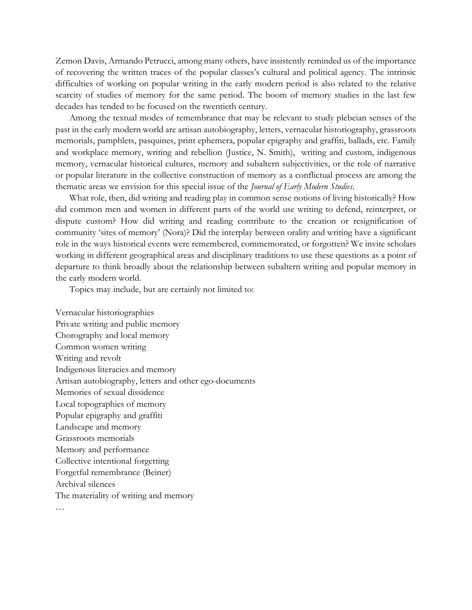Zemon Davis, Armando Petrucci, among many others, have insistently reminded us of the importance of recovering the written traces of the popular classes's cultural and political agency. The intrinsic difficulties of working on popular writing in the early modern period is also related to the relative scarcity of studies of memory for the same period. The boom of memory studies in the last few decades has tended to be focused on the twentieth century.

Among the textual modes of remembrance that may be relevant to study plebeian senses of the past in the early modern world are artisan autobiography, letters, vernacular historiography, grassroots memorials, pamphlets, pasquines, print ephemera, popular epigraphy and graffiti, ballads, etc. Family and workplace memory, writing and rebellion (Justice, N. Smith), writing and custom, indigenous memory, vernacular historical cultures, memory and subaltern subjectivities, or the role of narrative or popular literature in the collective construction of memory as a conflictual process are among the thematic areas we envision for this special issue of the *Journal of Early Modern Studies*.

What role, then, did writing and reading play in common sense notions of living historically? How did common men and women in different parts of the world use writing to defend, reinterpret, or dispute custom? How did writing and reading contribute to the creation or resignification of community 'sites of memory' (Nora)? Did the interplay between orality and writing have a significant role in the ways historical events were remembered, commemorated, or forgotten? We invite scholars working in different geographical areas and disciplinary traditions to use these questions as a point of departure to think broadly about the relationship between subaltern writing and popular memory in the early modern world.

Topics may include, but are certainly not limited to:

Vernacular historiographies Private writing and public memory Chorography and local memory Common women writing Writing and revolt Indigenous literacies and memory Artisan autobiography, letters and other ego-documents Memories of sexual dissidence Local topographies of memory Popular epigraphy and graffiti Landscape and memory Grassroots memorials Memory and performance Collective intentional forgetting Forgetful remembrance (Beiner) Archival silences The materiality of writing and memory …